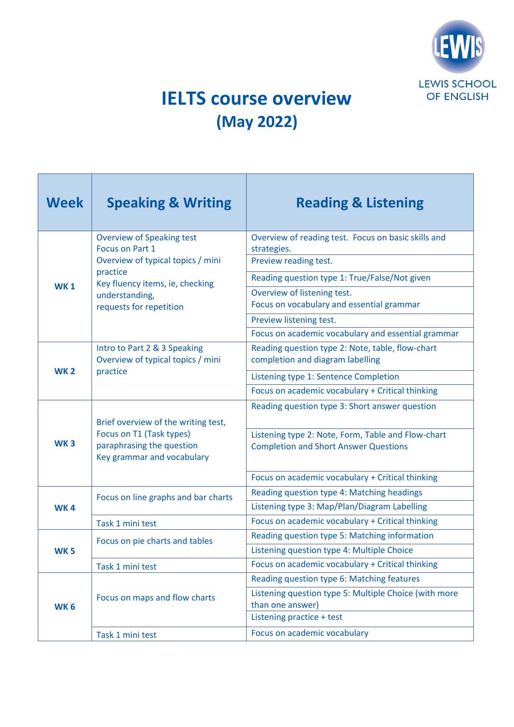

## **IELTS course overview (May 2022)**

| <b>Week</b>     | <b>Speaking &amp; Writing</b>                                                                                                 | <b>Reading &amp; Listening</b>                                                                       |
|-----------------|-------------------------------------------------------------------------------------------------------------------------------|------------------------------------------------------------------------------------------------------|
| <b>WK1</b>      | <b>Overview of Speaking test</b><br>Focus on Part 1                                                                           | Overview of reading test. Focus on basic skills and<br>strategies.                                   |
|                 | Overview of typical topics / mini<br>practice<br>Key fluency items, ie, checking<br>understanding,<br>requests for repetition | Preview reading test.                                                                                |
|                 |                                                                                                                               | Reading question type 1: True/False/Not given                                                        |
|                 |                                                                                                                               | Overview of listening test.<br>Focus on vocabulary and essential grammar                             |
|                 |                                                                                                                               | Preview listening test.                                                                              |
|                 |                                                                                                                               | Focus on academic vocabulary and essential grammar                                                   |
| <b>WK2</b>      | Intro to Part 2 & 3 Speaking<br>Overview of typical topics / mini                                                             | Reading question type 2: Note, table, flow-chart<br>completion and diagram labelling                 |
|                 | practice                                                                                                                      | Listening type 1: Sentence Completion                                                                |
|                 |                                                                                                                               | Focus on academic vocabulary + Critical thinking                                                     |
| WK <sub>3</sub> | Brief overview of the writing test,<br>Focus on T1 (Task types)<br>paraphrasing the question                                  | Reading question type 3: Short answer question<br>Listening type 2: Note, Form, Table and Flow-chart |
|                 | Key grammar and vocabulary                                                                                                    | <b>Completion and Short Answer Questions</b>                                                         |
|                 |                                                                                                                               | Focus on academic vocabulary + Critical thinking                                                     |
| <b>WK4</b>      | Focus on line graphs and bar charts                                                                                           | Reading question type 4: Matching headings                                                           |
|                 |                                                                                                                               | Listening type 3: Map/Plan/Diagram Labelling                                                         |
|                 | Task 1 mini test                                                                                                              | Focus on academic vocabulary + Critical thinking                                                     |
| <b>WK5</b>      | Focus on pie charts and tables                                                                                                | Reading question type 5: Matching information                                                        |
|                 |                                                                                                                               | Listening question type 4: Multiple Choice                                                           |
|                 | Task 1 mini test                                                                                                              | Focus on academic vocabulary + Critical thinking                                                     |
| <b>WK6</b>      | Focus on maps and flow charts                                                                                                 | Reading question type 6: Matching features                                                           |
|                 |                                                                                                                               | Listening question type 5: Multiple Choice (with more<br>than one answer)                            |
|                 |                                                                                                                               | Listening practice + test                                                                            |
|                 | Task 1 mini test                                                                                                              | Focus on academic vocabulary                                                                         |